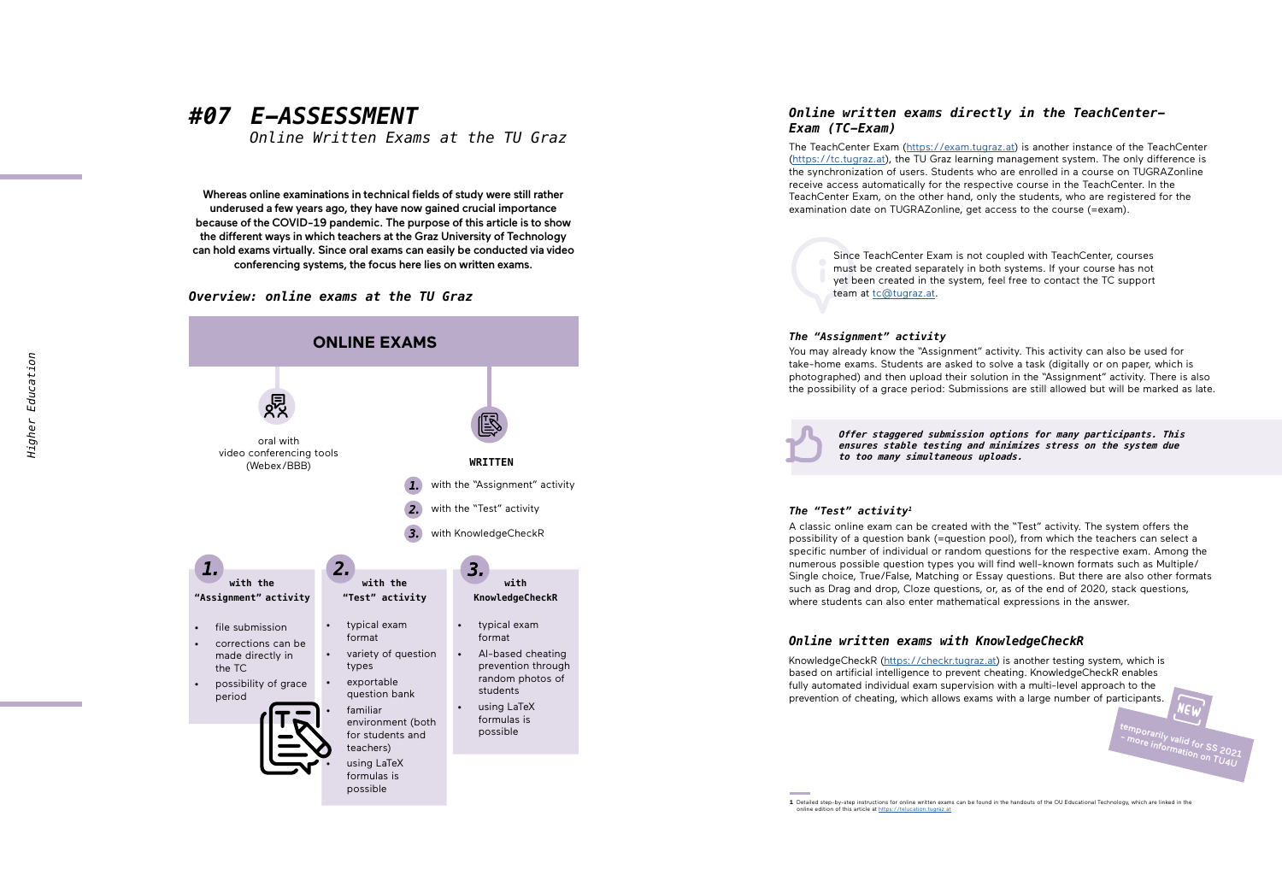## *#07 E-ASSESSMENT*

*Online Written Exams at the TU Graz*

Whereas online examinations in technical fields of study were still rather underused a few years ago, they have now gained crucial importance because of the COVID-19 pandemic. The purpose of this article is to show the different ways in which teachers at the Graz University of Technology can hold exams virtually. Since oral exams can easily be conducted via video conferencing systems, the focus here lies on written exams.

#### *Overview: online exams at the TU Graz*



### *Online written exams directly in the TeachCenter-Exam (TC-Exam)*

The TeachCenter Exam (<https://exam.tugraz.at>) is another instance of the TeachCenter (<https://tc.tugraz.at>), the TU Graz learning management system. The only difference is the synchronization of users. Students who are enrolled in a course on TUGRAZonline receive access automatically for the respective course in the TeachCenter. In the TeachCenter Exam, on the other hand, only the students, who are registered for the examination date on TUGRAZonline, get access to the course (=exam).

> Since TeachCenter Exam is not coupled with TeachCenter, courses must be created separately in both systems. If your course has not yet been created in the system, feel free to contact the TC support team at [tc@tugraz.at](mailto:tc%40tugraz.at?subject=).

#### *The "Assignment" activity*

You may already know the "Assignment" activity. This activity can also be used for take-home exams. Students are asked to solve a task (digitally or on paper, which is photographed) and then upload their solution in the "Assignment" activity. There is also the possibility of a grace period: Submissions are still allowed but will be marked as late.

*Offer staggered submission options for many participants. This ensures stable testing and minimizes stress on the system due to too many simultaneous uploads.*

#### *The "Test" activity 1*

A classic online exam can be created with the "Test" activity. The system offers the possibility of a question bank (=question pool), from which the teachers can select a specific number of individual or random questions for the respective exam. Among the numerous possible question types you will find well-known formats such as Multiple/ Single choice, True/False, Matching or Essay questions. But there are also other formats such as Drag and drop, Cloze questions, or, as of the end of 2020, stack questions, where students can also enter mathematical expressions in the answer.

#### *Online written exams with KnowledgeCheckR*

KnowledgeCheckR [\(https://checkr.tugraz.at](https://checkr.tugraz.at)) is another testing system, which is based on artificial intelligence to prevent cheating. KnowledgeCheckR enables fully automated individual exam supervision with a multi-level approach to the prevention of cheating, which allows exams with a large number of participants.

**1** Detailed step-by-step instructions for online written exams can be found in the handouts of the OU Educational Technology, which are linked in the online edition of this article at <https://telucation.tugraz.at>

temporarily valid for SS 2021 - more information on TU4U